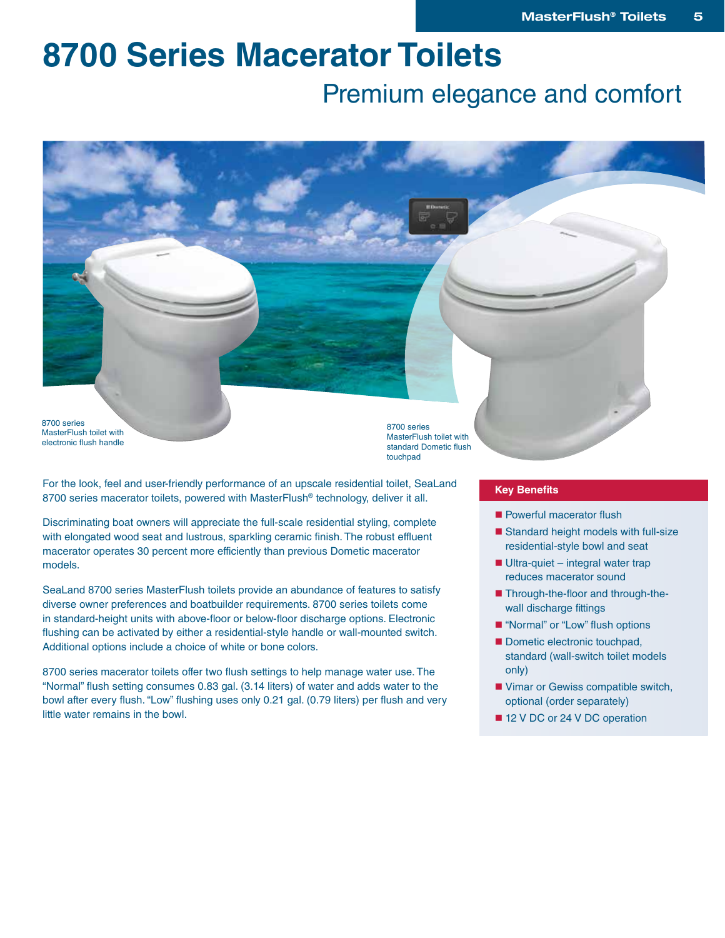# **8700 Series Macerator Toilets**

### Premium elegance and comfort

8700 series MasterFlush toilet with electronic flush handle

8700 series MasterFlush toilet with standard Dometic flush touchpad

For the look, feel and user-friendly performance of an upscale residential toilet, SeaLand 8700 series macerator toilets, powered with MasterFlush® technology, deliver it all.

Discriminating boat owners will appreciate the full-scale residential styling, complete with elongated wood seat and lustrous, sparkling ceramic finish. The robust effluent macerator operates 30 percent more efficiently than previous Dometic macerator models.

SeaLand 8700 series MasterFlush toilets provide an abundance of features to satisfy diverse owner preferences and boatbuilder requirements. 8700 series toilets come in standard-height units with above-floor or below-floor discharge options. Electronic flushing can be activated by either a residential-style handle or wall-mounted switch. Additional options include a choice of white or bone colors.

8700 series macerator toilets offer two flush settings to help manage water use. The "Normal" flush setting consumes 0.83 gal. (3.14 liters) of water and adds water to the bowl after every flush. "Low" flushing uses only 0.21 gal. (0.79 liters) per flush and very little water remains in the bowl.

#### **Key Benefits**

- Powerful macerator flush
- Standard height models with full-size residential-style bowl and seat
- $\blacksquare$  Ultra-quiet integral water trap reduces macerator sound
- Through-the-floor and through-thewall discharge fittings
- "Normal" or "Low" flush options
- Dometic electronic touchpad, standard (wall-switch toilet models only)
- Vimar or Gewiss compatible switch, optional (order separately)
- 12 V DC or 24 V DC operation